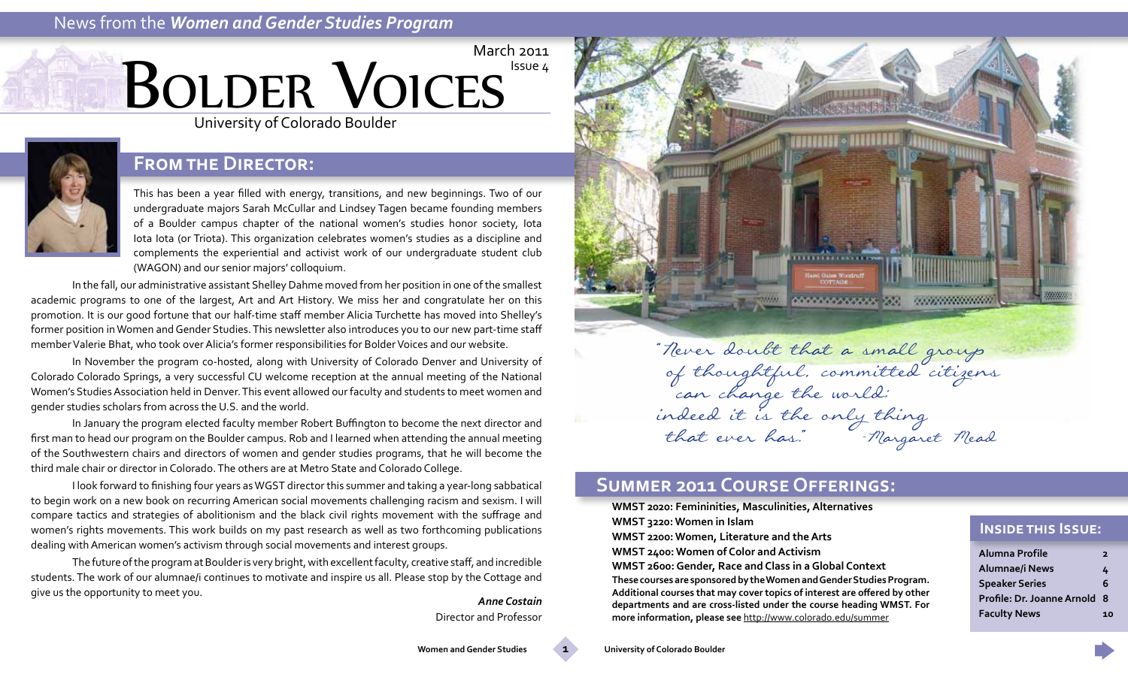# News from the *Women and Gender Studies Program*





# **From the Director:**

This has been a year filled with energy, transitions, and new beginnings. Two of our undergraduate majors Sarah McCullar and Lindsey Tagen became founding members of a Boulder campus chapter of the national women's studies honor society, Iota Iota Iota (or Triota). This organization celebrates women's studies as a discipline and complements the experiential and activist work of our undergraduate student club (WAGON) and our senior majors' colloquium.

In the fall, our administrative assistant Shelley Dahme moved from her position in one of the smallest academic programs to one of the largest, Art and Art History. We miss her and congratulate her on this promotion. It is our good fortune that our half-time staff member Alicia Turchette has moved into Shelley's former position in Women and Gender Studies. This newsletter also introduces you to our new part-time staff member Valerie Bhat, who took over Alicia's former responsibilities for Bolder Voices and our website.

In November the program co-hosted, along with University of Colorado Denver and University of Colorado Colorado Springs, a very successful CU welcome reception at the annual meeting of the National Women's Studies Association held in Denver. This event allowed our faculty and students to meet women and gender studies scholars from across the U.S. and the world.

In January the program elected faculty member Robert Buffington to become the next director and first man to head our program on the Boulder campus. Rob and I learned when attending the annual meeting of the Southwestern chairs and directors of women and gender studies programs, that he will become the third male chair or director in Colorado. The others are at Metro State and Colorado College.

I look forward to finishing four years as WGST director this summer and taking a year-long sabbatical to begin work on a new book on recurring American social movements challenging racism and sexism. I will compare tactics and strategies of abolitionism and the black civil rights movement with the suffrage and women's rights movements. This work builds on my past research as well as two forthcoming publications dealing with American women's activism through social movements and interest groups.

The future of the program at Boulder is very bright, with excellent faculty, creative staff, and incredible students. The work of our alumnae/i continues to motivate and inspire us all. Please stop by the Cottage and give us the opportunity to meet you. *Anne Costain*

Director and Professor



 of thoughtful, committed citizens can change the world; indeed it is the only thing that ever has." -Margaret Mead

### **Summer 2011 Course Offerings:**

**WMST 2020: Femininities, Masculinities, Alternatives WMST 3220: Women in Islam WMST 2200: Women, Literature and the Arts WMST 2400: Women of Color and Activism WMST 2600: Gender, Race and Class in a Global Context These courses are sponsored by the Women and Gender Studies Program. Additional courses that may cover topics of interest are offered by other departments and are cross-listed under the course heading WMST. For more information, please see** <http://www.colorado.edu/summer>

#### **Inside this Issue:**

| Alumna Profile               | $\overline{\mathbf{z}}$ |
|------------------------------|-------------------------|
| Alumnae/i News               | 4                       |
| <b>Speaker Series</b>        | 6                       |
| Profile: Dr. Joanne Arnold 8 |                         |
| <b>Faculty News</b>          | 10                      |

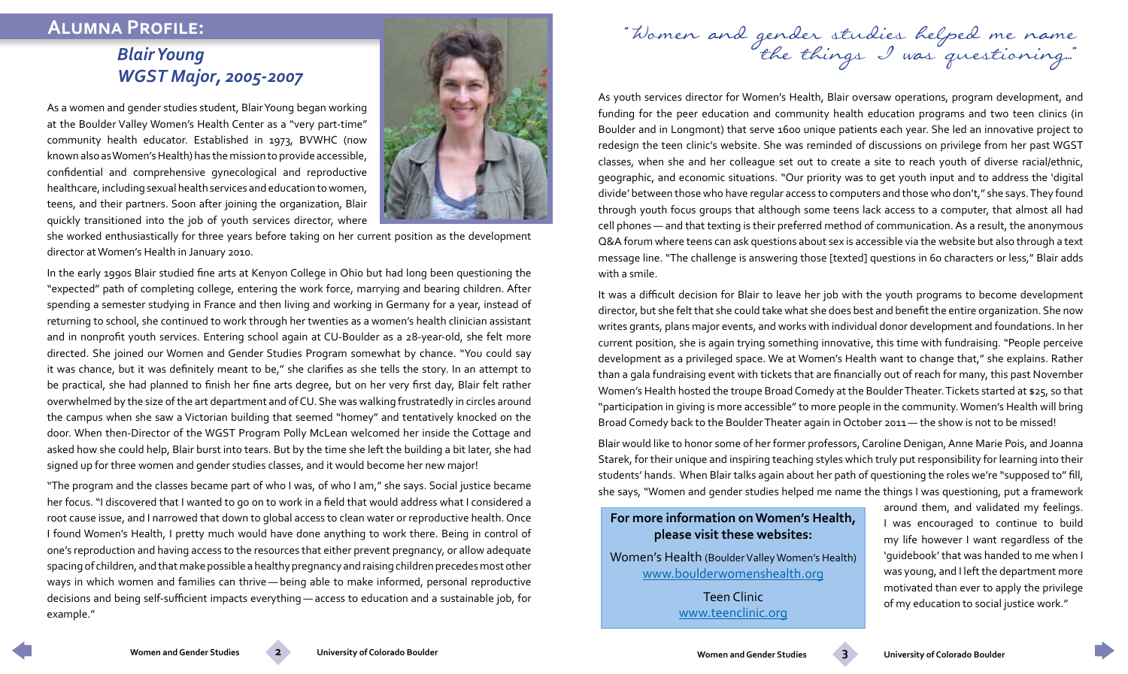# <span id="page-1-0"></span> **Alumna Profile:**

# *Blair Young WGST Major, 2005-2007*

As a women and gender studies student, Blair Young began working at the Boulder Valley Women's Health Center as a "very part-time" community health educator. Established in 1973, BVWHC (now known also as Women's Health) has the mission to provide accessible, confidential and comprehensive gynecological and reproductive healthcare, including sexual health services and education to women, teens, and their partners. Soon after joining the organization, Blair quickly transitioned into the job of youth services director, where



she worked enthusiastically for three years before taking on her current position as the development director at Women's Health in January 2010.

In the early 1990s Blair studied fine arts at Kenyon College in Ohio but had long been questioning the "expected" path of completing college, entering the work force, marrying and bearing children. After spending a semester studying in France and then living and working in Germany for a year, instead of returning to school, she continued to work through her twenties as a women's health clinician assistant and in nonprofit youth services. Entering school again at CU-Boulder as a 28-year-old, she felt more directed. She joined our Women and Gender Studies Program somewhat by chance. "You could say it was chance, but it was definitely meant to be," she clarifies as she tells the story. In an attempt to be practical, she had planned to finish her fine arts degree, but on her very first day, Blair felt rather overwhelmed by the size of the art department and of CU. She was walking frustratedly in circles around the campus when she saw a Victorian building that seemed "homey" and tentatively knocked on the door. When then-Director of the WGST Program Polly McLean welcomed her inside the Cottage and asked how she could help, Blair burst into tears. But by the time she left the building a bit later, she had signed up for three women and gender studies classes, and it would become her new major!

"The program and the classes became part of who I was, of who I am," she says. Social justice became her focus. "I discovered that I wanted to go on to work in a field that would address what I considered a root cause issue, and I narrowed that down to global access to clean water or reproductive health. Once I found Women's Health, I pretty much would have done anything to work there. Being in control of one's reproduction and having access to the resources that either prevent pregnancy, or allow adequate spacing of children, and that make possible a healthy pregnancy and raising children precedes most other ways in which women and families can thrive — being able to make informed, personal reproductive decisions and being self-sufficient impacts everything — access to education and a sustainable job, for example."

"Women and gender studies helped me name<br>the things I was questioning..."

As youth services director for Women's Health, Blair oversaw operations, program development, and funding for the peer education and community health education programs and two teen clinics (in Boulder and in Longmont) that serve 1600 unique patients each year. She led an innovative project to redesign the teen clinic's website. She was reminded of discussions on privilege from her past WGST classes, when she and her colleague set out to create a site to reach youth of diverse racial/ethnic, geographic, and economic situations. "Our priority was to get youth input and to address the 'digital divide' between those who have regular access to computers and those who don't," she says. They found through youth focus groups that although some teens lack access to a computer, that almost all had cell phones — and that texting is their preferred method of communication. As a result, the anonymous Q&A forum where teens can ask questions about sex is accessible via the website but also through a text message line. "The challenge is answering those [texted] questions in 60 characters or less," Blair adds with a smile.

It was a difficult decision for Blair to leave her job with the youth programs to become development director, but she felt that she could take what she does best and benefit the entire organization. She now writes grants, plans major events, and works with individual donor development and foundations. In her current position, she is again trying something innovative, this time with fundraising. "People perceive development as a privileged space. We at Women's Health want to change that," she explains. Rather than a gala fundraising event with tickets that are financially out of reach for many, this past November Women's Health hosted the troupe Broad Comedy at the Boulder Theater. Tickets started at \$25, so that "participation in giving is more accessible" to more people in the community. Women's Health will bring Broad Comedy back to the Boulder Theater again in October 2011 — the show is not to be missed!

Blair would like to honor some of her former professors, Caroline Denigan, Anne Marie Pois, and Joanna Starek, for their unique and inspiring teaching styles which truly put responsibility for learning into their students' hands. When Blair talks again about her path of questioning the roles we're "supposed to" fill, she says, "Women and gender studies helped me name the things I was questioning, put a framework

#### **For more information on Women's Health, please visit these websites:**

Women's Health (Boulder Valley Women's Health) www.boulderwomenshealth.org

> Teen Clinic www.teenclinic.org

around them, and validated my feelings. I was encouraged to continue to build my life however I want regardless of the 'guidebook' that was handed to me when I was young, and I left the department more motivated than ever to apply the privilege of my education to social justice work."

**Women and Gender Studies 2 University of Colorado Boulder Now and Gender Studies 3 University of Colorado Boulder**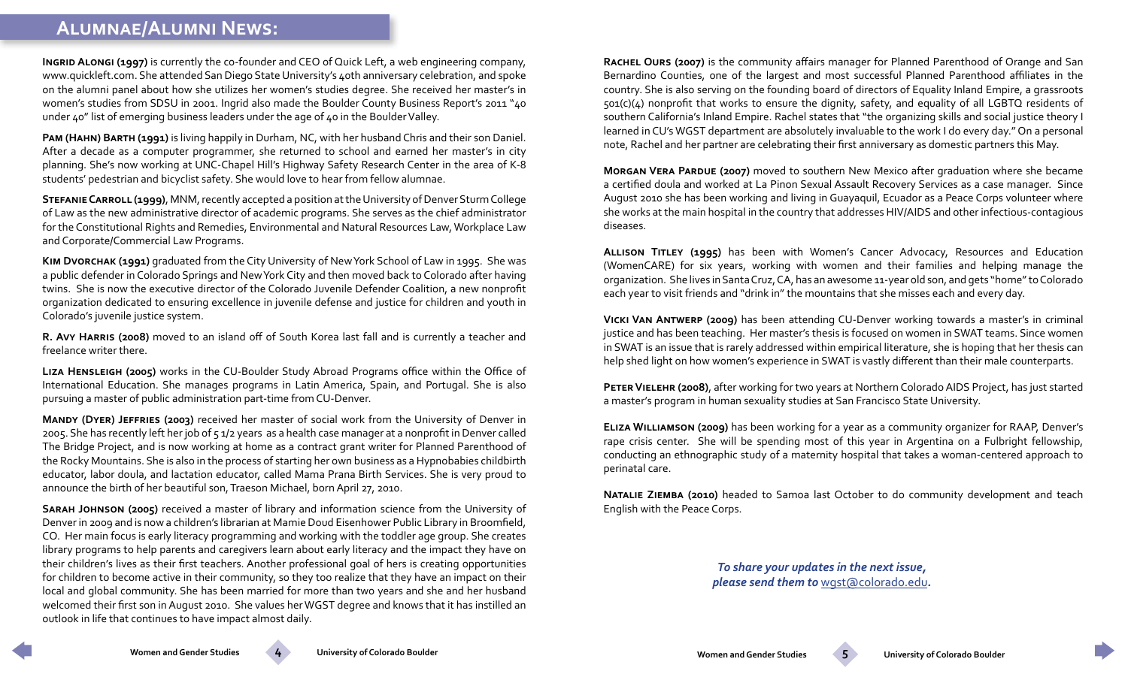# <span id="page-2-0"></span> **Alumnae/Alumni News:**

**Ingrid Alongi (1997)** is currently the co-founder and CEO of Quick Left, a web engineering company, www.quickleft.com. She attended San Diego State University's 40th anniversary celebration, and spoke on the alumni panel about how she utilizes her women's studies degree. She received her master's in women's studies from SDSU in 2001. Ingrid also made the Boulder County Business Report's 2011 "40 under 40" list of emerging business leaders under the age of 40 in the Boulder Valley.

**Pam (Hahn) Barth (1991)** is living happily in Durham, NC, with her husband Chris and their son Daniel. After a decade as a computer programmer, she returned to school and earned her master's in city planning. She's now working at UNC-Chapel Hill's Highway Safety Research Center in the area of K-8 students' pedestrian and bicyclist safety. She would love to hear from fellow alumnae.

**Stefanie Carroll (1999)**, MNM, recently accepted a position at the University of Denver Sturm College of Law as the new administrative director of academic programs. She serves as the chief administrator for the Constitutional Rights and Remedies, Environmental and Natural Resources Law, Workplace Law and Corporate/Commercial Law Programs.

**Kim Dvorchak (1991)** graduated from the City University of New York School of Law in 1995. She was a public defender in Colorado Springs and New York City and then moved back to Colorado after having twins. She is now the executive director of the Colorado Juvenile Defender Coalition, a new nonprofit organization dedicated to ensuring excellence in juvenile defense and justice for children and youth in Colorado's juvenile justice system.

**R. Avy Harris (2008)** moved to an island off of South Korea last fall and is currently a teacher and freelance writer there.

**Liza Hensleigh (2005)** works in the CU-Boulder Study Abroad Programs office within the Office of International Education. She manages programs in Latin America, Spain, and Portugal. She is also pursuing a master of public administration part-time from CU-Denver.

**Mandy (Dyer) Jeffries (2003)** received her master of social work from the University of Denver in 2005. She has recently left her job of 5 1/2 years as a health case manager at a nonprofit in Denver called The Bridge Project, and is now working at home as a contract grant writer for Planned Parenthood of the Rocky Mountains. She is also in the process of starting her own business as a Hypnobabies childbirth educator, labor doula, and lactation educator, called Mama Prana Birth Services. She is very proud to announce the birth of her beautiful son, Traeson Michael, born April 27, 2010.

**Sarah Johnson (2005)** received a master of library and information science from the University of Denver in 2009 and is now a children's librarian at Mamie Doud Eisenhower Public Library in Broomfield, CO. Her main focus is early literacy programming and working with the toddler age group. She creates library programs to help parents and caregivers learn about early literacy and the impact they have on their children's lives as their first teachers. Another professional goal of hers is creating opportunities for children to become active in their community, so they too realize that they have an impact on their local and global community. She has been married for more than two years and she and her husband welcomed their first son in August 2010. She values her WGST degree and knows that it has instilled an outlook in life that continues to have impact almost daily.

**Rachel Ours (2007)** is the community affairs manager for Planned Parenthood of Orange and San Bernardino Counties, one of the largest and most successful Planned Parenthood affiliates in the country. She is also serving on the founding board of directors of Equality Inland Empire, a grassroots 501(c)(4) nonprofit that works to ensure the dignity, safety, and equality of all LGBTQ residents of southern California's Inland Empire. Rachel states that "the organizing skills and social justice theory I learned in CU's WGST department are absolutely invaluable to the work I do every day." On a personal note, Rachel and her partner are celebrating their first anniversary as domestic partners this May.

**Morgan Vera Pardue (2007)** moved to southern New Mexico after graduation where she became a certified doula and worked at La Pinon Sexual Assault Recovery Services as a case manager. Since August 2010 she has been working and living in Guayaquil, Ecuador as a Peace Corps volunteer where she works at the main hospital in the country that addresses HIV/AIDS and other infectious-contagious diseases.

**Allison Titley (1995)** has been with Women's Cancer Advocacy, Resources and Education (WomenCARE) for six years, working with women and their families and helping manage the organization. She lives in Santa Cruz, CA, has an awesome 11-year old son, and gets "home" to Colorado each year to visit friends and "drink in" the mountains that she misses each and every day.

**Vicki Van Antwerp (2009)** has been attending CU-Denver working towards a master's in criminal justice and has been teaching. Her master's thesis is focused on women in SWAT teams. Since women in SWAT is an issue that is rarely addressed within empirical literature, she is hoping that her thesis can help shed light on how women's experience in SWAT is vastly different than their male counterparts.

**Peter Vielehr (2008)**, after working for two years at Northern Colorado AIDS Project, has just started a master's program in human sexuality studies at San Francisco State University.

**Eliza Williamson (2009)** has been working for a year as a community organizer for RAAP, Denver's rape crisis center. She will be spending most of this year in Argentina on a Fulbright fellowship, conducting an ethnographic study of a maternity hospital that takes a woman-centered approach to perinatal care.

**Natalie Ziemba (2010)** headed to Samoa last October to do community development and teach English with the Peace Corps.

> *To share your updates in the next issue, please send them to* [wgst@colorado.edu](mailto:wgst%40colorado.edu?subject=Alumni%20Updates)*.*

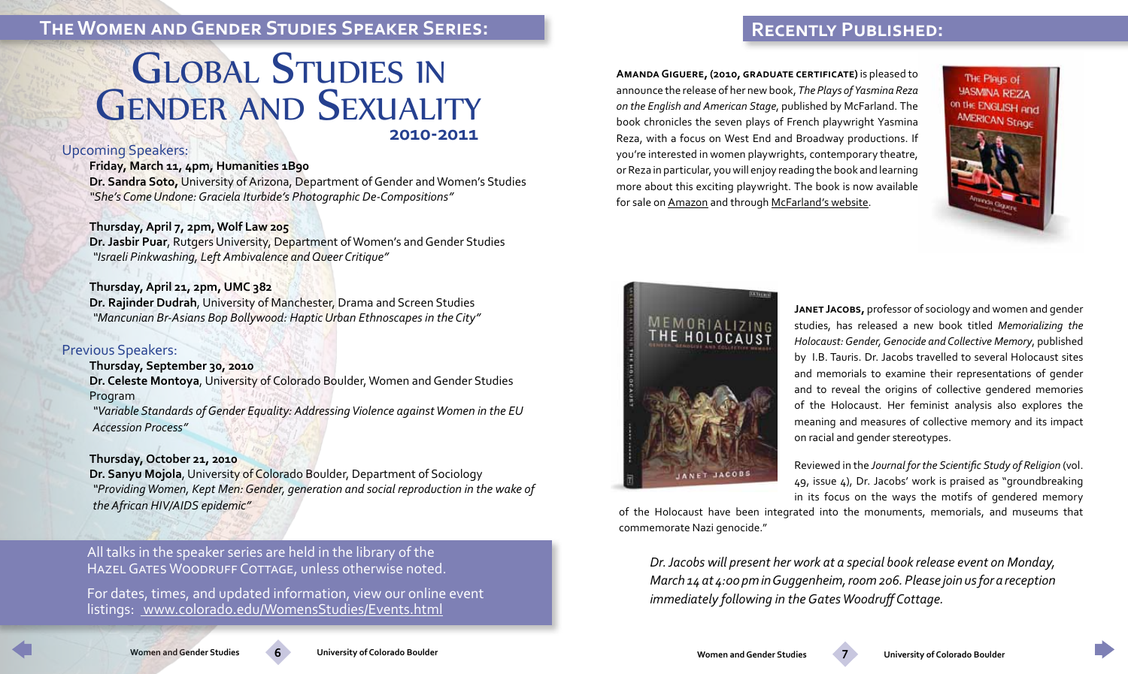# **The Women and Gender Studies Speaker Series:**

# **2010-2011 GLOBAL STUDIES IN GENDER AND SEXUALITY**

#### Upcoming Speakers:

#### **Friday, March 11, 4pm, Humanities 1B90**

**Dr. Sandra Soto,** University of Arizona, Department of Gender and Women's Studies *"She's Come Undone: Graciela Iturbide's Photographic De-Compositions"*

#### **Thursday, April 7, 2pm, Wolf Law 205**

**Dr. Jasbir Puar**, Rutgers University, Department of Women's and Gender Studies *"Israeli Pinkwashing, Left Ambivalence and Queer Critique"* 

#### **Thursday, April 21, 2pm, UMC 382**

**Dr. Rajinder Dudrah**, University of Manchester, Drama and Screen Studies *"Mancunian Br-Asians Bop Bollywood: Haptic Urban Ethnoscapes in the City"*

#### Previous Speakers:

**Thursday, September 30, 2010 Dr. Celeste Montoya**, University of Colorado Boulder, Women and Gender Studies Program

*"Variable Standards of Gender Equality: Addressing Violence against Women in the EU Accession Process"*

#### **Thursday, October 21, 2010**

**Dr. Sanyu Mojola**, University of Colorado Boulder, Department of Sociology *"Providing Women, Kept Men: Gender, generation and social reproduction in the wake of the African HIV/AIDS epidemic"*

All talks in the speaker series are held in the library of the HAZEL GATES WOODRUFF COTTAGE, unless otherwise noted.

For dates, times, and updated information, view our online event listings: [www.colorado.edu/WomensStudies/Events.html]( www.colorado.edu/WomensStudies/Events.html)

**Amanda Giguere, (2010, graduate certificate)** is pleased to announce the release of her new book, *The Plays of Yasmina Reza on the English and American Stage*, published by McFarland. The book chronicles the seven plays of French playwright Yasmina Reza, with a focus on West End and Broadway productions. If you're interested in women playwrights, contemporary theatre, or Reza in particular, you will enjoy reading the book and learning more about this exciting playwright. The book is now available for sale on [Amazon](http://www.amazon.com/Plays-Yasmina-English-American-Stage/dp/0786449888/ref=sr_1_7?ie=UTF8&s=books&qid=1285076400&sr=8-7) and through [McFarland's website.](http://www.mcfarlandpub.com/book-2.php?id=978-0-7864-4988-0)

 **Recently Published:**

THE Plays of **YASMINA REZA** on the ENGLISH and AMERICAN Stage





**Janet Jacobs,** professor of sociology and women and gender studies, has released a new book titled *Memorializing the Holocaust: Gender, Genocide and Collective Memory*, published by I.B. Tauris. Dr. Jacobs travelled to several Holocaust sites and memorials to examine their representations of gender and to reveal the origins of collective gendered memories of the Holocaust. Her feminist analysis also explores the meaning and measures of collective memory and its impact on racial and gender stereotypes.

Reviewed in the *Journal for the Scientific Study of Religion* (vol. 49, issue 4), Dr. Jacobs' work is praised as "groundbreaking in its focus on the ways the motifs of gendered memory

of the Holocaust have been integrated into the monuments, memorials, and museums that commemorate Nazi genocide."

*Dr. Jacobs will present her work at a special book release event on Monday, March 14 at 4:00 pm in Guggenheim, room 206. Please join us for a reception immediately following in the Gates Woodruff Cottage.*



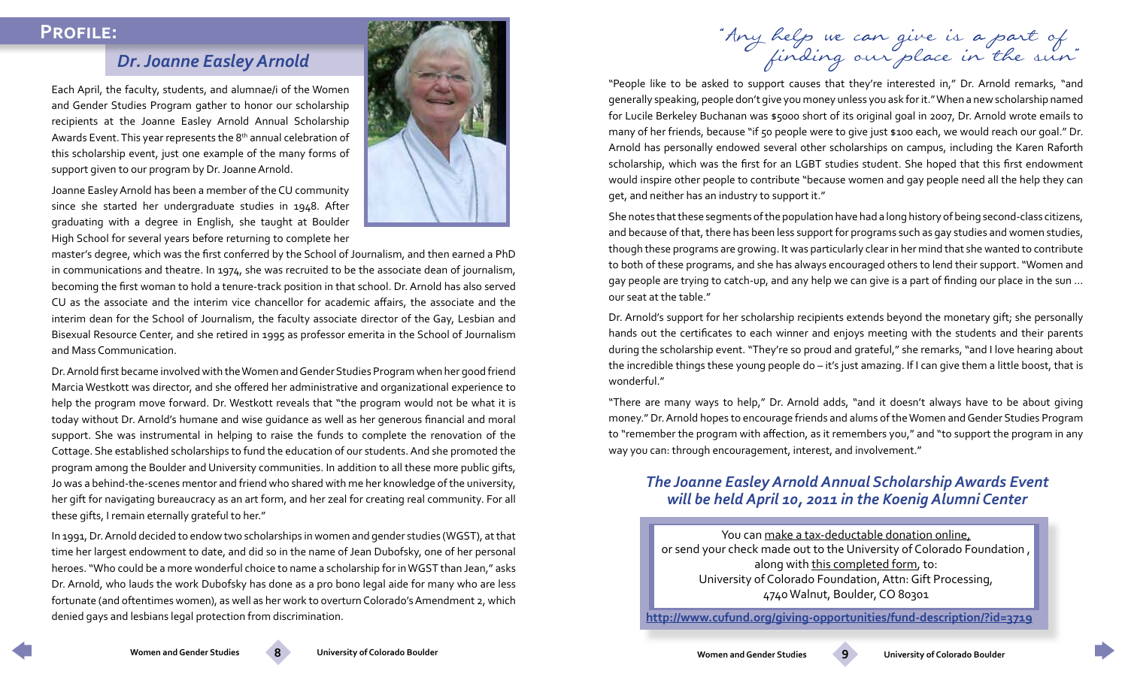### *Dr. Joanne Easley Arnold*

Each April, the faculty, students, and alumnae/i of the Women and Gender Studies Program gather to honor our scholarship recipients at the Joanne Easley Arnold Annual Scholarship Awards Event. This year represents the 8<sup>th</sup> annual celebration of this scholarship event, just one example of the many forms of support given to our program by Dr. Joanne Arnold.

Joanne Easley Arnold has been a member of the CU community since she started her undergraduate studies in 1948. After graduating with a degree in English, she taught at Boulder High School for several years before returning to complete her



master's degree, which was the first conferred by the School of Journalism, and then earned a PhD in communications and theatre. In 1974, she was recruited to be the associate dean of journalism, becoming the first woman to hold a tenure-track position in that school. Dr. Arnold has also served CU as the associate and the interim vice chancellor for academic affairs, the associate and the interim dean for the School of Journalism, the faculty associate director of the Gay, Lesbian and Bisexual Resource Center, and she retired in 1995 as professor emerita in the School of Journalism and Mass Communication.

Dr. Arnold first became involved with the Women and Gender Studies Program when her good friend Marcia Westkott was director, and she offered her administrative and organizational experience to help the program move forward. Dr. Westkott reveals that "the program would not be what it is today without Dr. Arnold's humane and wise guidance as well as her generous financial and moral support. She was instrumental in helping to raise the funds to complete the renovation of the Cottage. She established scholarships to fund the education of our students. And she promoted the program among the Boulder and University communities. In addition to all these more public gifts, Jo was a behind-the-scenes mentor and friend who shared with me her knowledge of the university, her gift for navigating bureaucracy as an art form, and her zeal for creating real community. For all these gifts, I remain eternally grateful to her."

In 1991, Dr. Arnold decided to endow two scholarships in women and gender studies (WGST), at that time her largest endowment to date, and did so in the name of Jean Dubofsky, one of her personal heroes. "Who could be a more wonderful choice to name a scholarship for in WGST than Jean," asks Dr. Arnold, who lauds the work Dubofsky has done as a pro bono legal aide for many who are less fortunate (and oftentimes women), as well as her work to overturn Colorado's Amendment 2, which denied gays and lesbians legal protection from discrimination.

<span id="page-4-0"></span> **Profile:** "Any help we can give is a part of finding our place in the sun"

"People like to be asked to support causes that they're interested in," Dr. Arnold remarks, "and generally speaking, people don't give you money unless you ask for it." When a new scholarship named for Lucile Berkeley Buchanan was \$5000 short of its original goal in 2007, Dr. Arnold wrote emails to many of her friends, because "if 50 people were to give just \$100 each, we would reach our goal." Dr. Arnold has personally endowed several other scholarships on campus, including the Karen Raforth scholarship, which was the first for an LGBT studies student. She hoped that this first endowment would inspire other people to contribute "because women and gay people need all the help they can get, and neither has an industry to support it."

She notes that these segments of the population have had a long history of being second-class citizens, and because of that, there has been less support for programs such as gay studies and women studies, though these programs are growing. It was particularly clear in her mind that she wanted to contribute to both of these programs, and she has always encouraged others to lend their support. "Women and gay people are trying to catch-up, and any help we can give is a part of finding our place in the sun … our seat at the table."

Dr. Arnold's support for her scholarship recipients extends beyond the monetary gift; she personally hands out the certificates to each winner and enjoys meeting with the students and their parents during the scholarship event. "They're so proud and grateful," she remarks, "and I love hearing about the incredible things these young people do – it's just amazing. If I can give them a little boost, that is wonderful."

"There are many ways to help," Dr. Arnold adds, "and it doesn't always have to be about giving money." Dr. Arnold hopes to encourage friends and alums of the Women and Gender Studies Program to "remember the program with affection, as it remembers you," and "to support the program in any way you can: through encouragement, interest, and involvement."

#### *The Joanne Easley Arnold Annual Scholarship Awards Event will be held April 10, 2011 in the Koenig Alumni Center*

You can [make a tax-deductable donation online,](http://www.cufund.org/giving-opportunities/fund-description/?id=3719) or send your check made out to the University of Colorado Foundation , [along with this completed form](http://www.colorado.edu/WomensStudies/Documents/DonationForm.pdf), to: University of Colorado Foundation, Attn: Gift Processing, 4740 Walnut, Boulder, CO 80301

**<http://www.cufund.org/giving-opportunities/fund-description/?id=3719>**